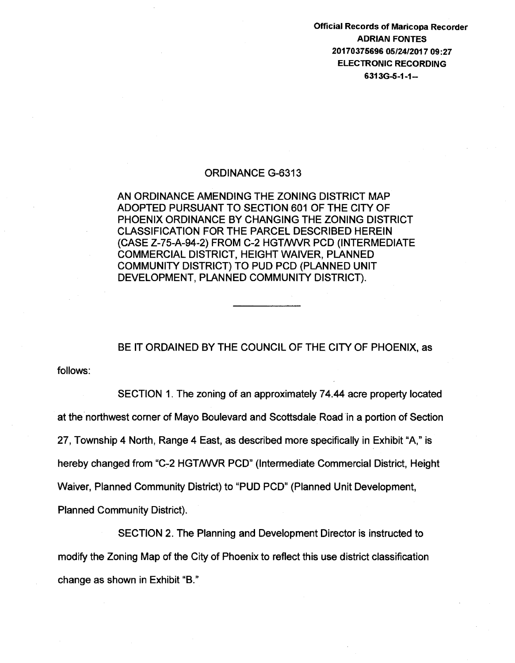Official Records of Maricopa Recorder ADRIAN FONTES 20170375696 05/24/2017 09:27 ELECTRONIC RECORDING 6313G-S-1-1-

## ORDINANCE G-6313

AN ORDINANCE AMENDING THE ZONING DISTRICT MAP ADOPTED PURSUANT TO SECTION 601 OF THE CITY OF PHOENIX ORDINANCE BY CHANGING THE ZONING DISTRICT CLASSIFICATION FOR THE PARCEL DESCRIBED HEREIN (CASE Z-75-A-94-2) FROM C-2 HGTNVVR PCD (INTERMEDIATE COMMERCIAL DISTRICT, HEIGHT WAIVER, PLANNED COMMUNITY DISTRICT) TO PUD PCD (PLANNED UNIT DEVELOPMENT, PLANNED COMMUNITY DISTRICT).

BE IT ORDAINED BY THE COUNCIL OF THE CITY OF PHOENIX, as

follows:

SECTION 1. The zoning of an approximately 7 4.44 acre property located at the northwest corner of Mayo Boulevard and Scottsdale Road in a portion of Section 27, Township 4 North, Range 4 East, as described more specifically in Exhibit "A," is hereby changed from "C-2 HGT/WVR PCD" (Intermediate Commercial District, Height Waiver, Planned Community District) to "PUD PCD" (Planned Unit Development, Planned Community District).

SECTION 2. The Planning and Development Director is instructed to modify the Zoning Map of the City of Phoenix to reflect this use district classification change as shown in Exhibit "B."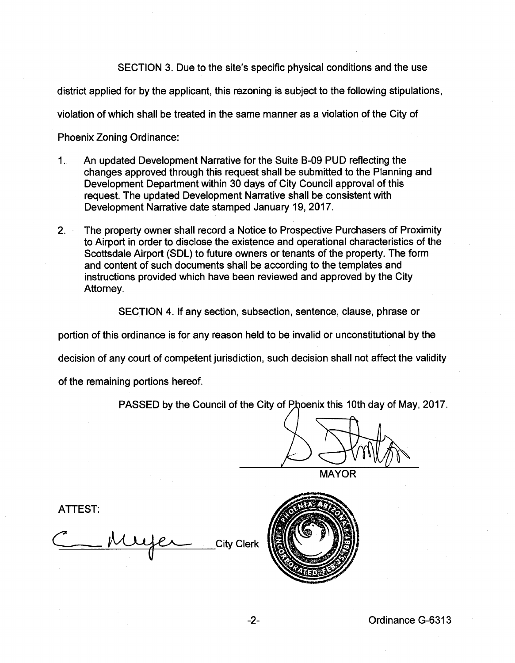SECTION 3. Due to the site's specific physical conditions and the use

district applied for by the applicant, this rezoning is subject to the following stipulations,

violation of which shall be treated in the same manner as a violation of the City of

Phoenix Zoning Ordinance:

- 1. An updated Development Narrative for the Suite B-09 PUD reflecting the changes approved through this request shall be submitted to the Planning and Development Department within 30 days of City Council approval of this request. The updated Development Narrative shall be consistent with Development Narrative date stamped January 19, 2017.
- 2. The property owner shall record a Notice to Prospective Purchasers of Proximity to Airport in order to disclose the existence and operational characteristics of the Scottsdale Airport (SOL) to future owners or tenants of the property. The form and content of such documents shall be according to the templates and instructions provided which have been reviewed and approved by the City Attorney.

SECTION 4. If any section, subsection, sentence, clause, phrase or

portion of this ordinance is for any reason held to be invalid or unconstitutional by the

decision of any court of competent jurisdiction, such decision shall not affect the validity

of the remaining portions hereof.

PASSED by the Council of the City of Phoenix this 10th day of May, 2017.

**MAYOR** 

ATTEST:

City Clerk

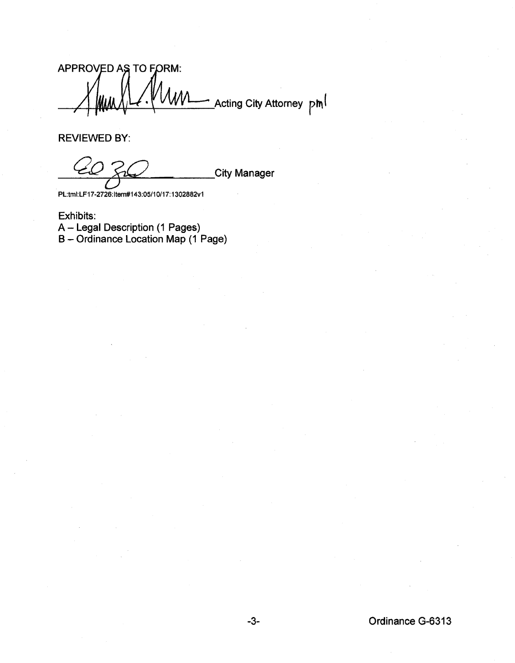APPROVED AS TO FORM: Acting City Attorney pm

REVIEWED BY:

**City Manager** 

PL:tmi:LF17 ·2726: ltem#143:05/1 0/17: 1302882v1

Exhibits: A- Legal Description (1 Pages) B- Ordinance Location Map (1 Page)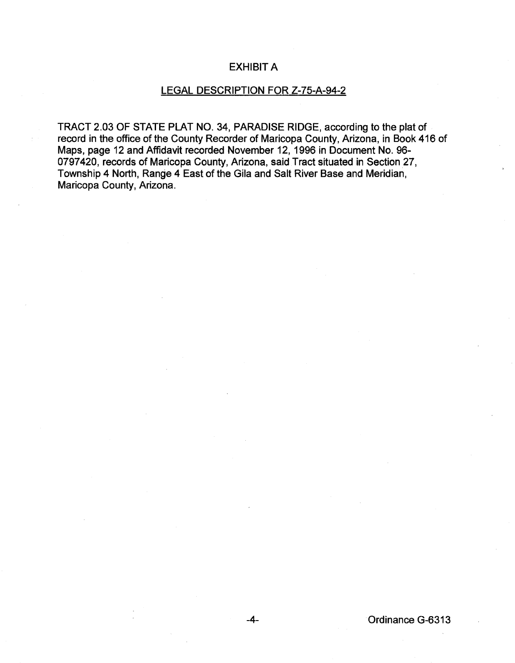## EXHIBIT A

## LEGAL DESCRIPTION FOR Z-75-A-94-2

TRACT 2.03 OF STATE PLAT NO. 34, PARADISE RIDGE, according to the plat of record in the office of the County Recorder of Maricopa County, Arizona, in Book 416 of Maps, page 12 and Affidavit recorded November 12, 1996 in Document No. 96- 0797420, records of Maricopa County, Arizona, said Tract situated in Section 27, Township 4 North, Range 4 East of the Gila and Salt River Base and Meridian, Maricopa County, Arizona.